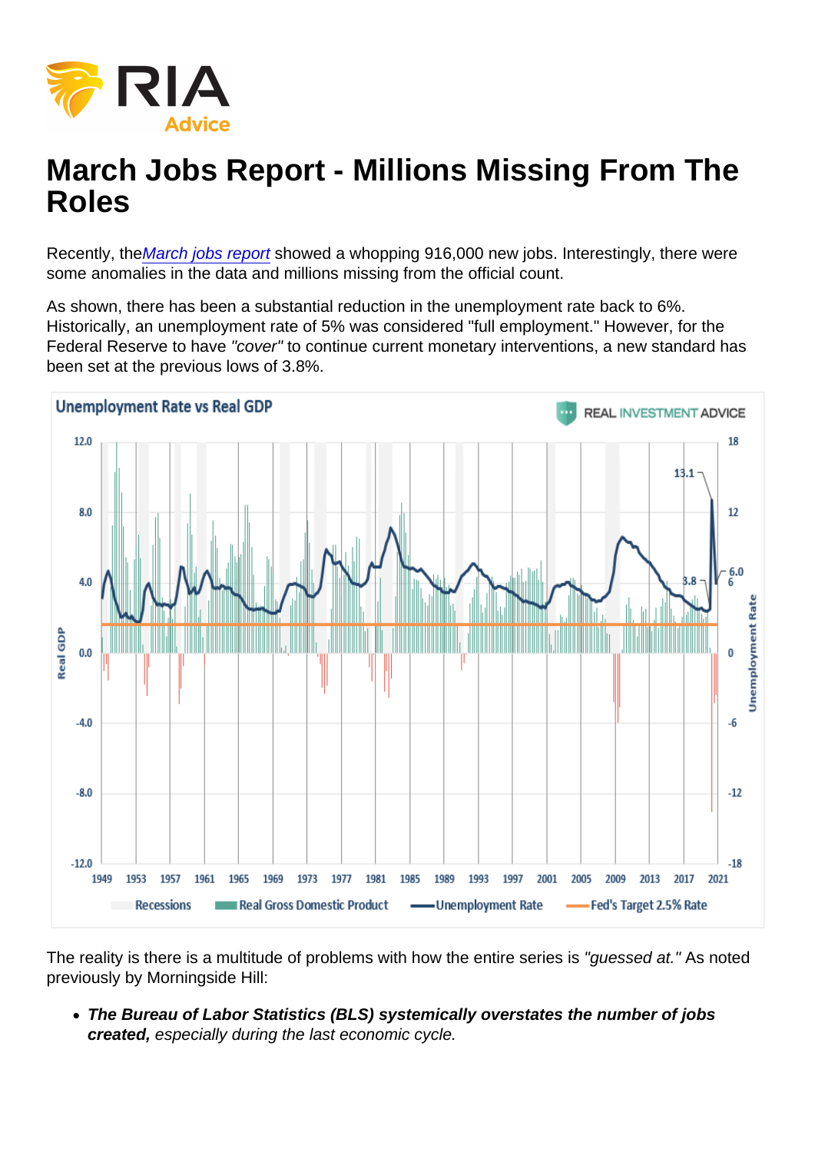# March Jobs Report - Millions Missing From The Roles

Recently, th[eMarch jobs report](https://www.whitehouse.gov/briefing-room/blog/2021/04/02/the-employment-situation-in-march/#:~:text=Today) showed a whopping 916,000 new jobs. Interestingly, there were some anomalies in the data and millions missing from the official count.

As shown, there has been a substantial reduction in the unemployment rate back to 6%. Historically, an unemployment rate of 5% was considered "full employment." However, for the Federal Reserve to have "cover" to continue current monetary interventions, a new standard has been set at the previous lows of 3.8%.

The reality is there is a multitude of problems with how the entire series is "guessed at." As noted previously by Morningside Hill:

The Bureau of Labor Statistics (BLS) systemically overstates the number of jobs created, especially during the last economic cycle.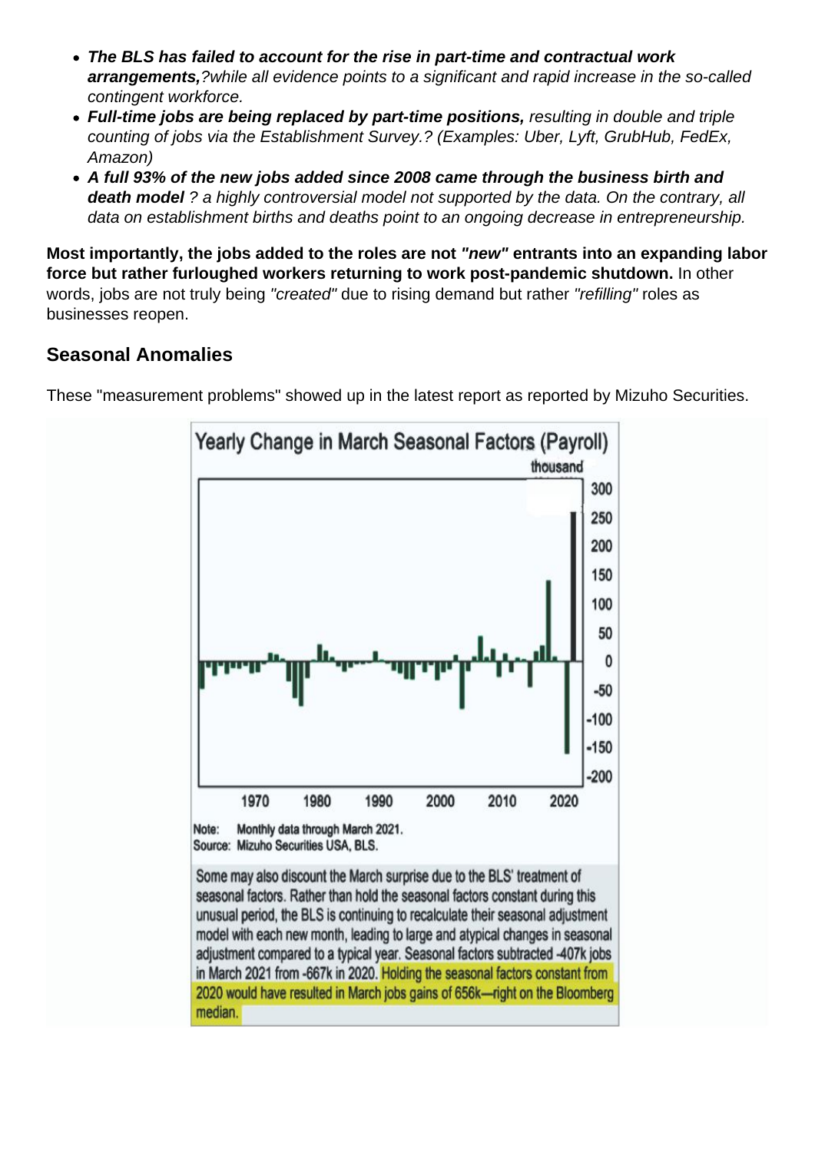- The BLS has failed to account for the rise in part-time and contractual work arrangements, ?while all evidence points to a significant and rapid increase in the so-called contingent workforce.
- Full-time jobs are being replaced by part-time positions, resulting in double and triple counting of jobs via the Establishment Survey.? (Examples: Uber, Lyft, GrubHub, FedEx, Amazon)
- A full 93% of the new jobs added since 2008 came through the business birth and death model ? a highly controversial model not supported by the data. On the contrary, all data on establishment births and deaths point to an ongoing decrease in entrepreneurship.

Most importantly, the jobs added to the roles are not "new" entrants into an expanding labor force but rather furloughed workers returning to work post-pandemic shutdown. In other words, jobs are not truly being "created" due to rising demand but rather "refilling" roles as businesses reopen.

#### Seasonal Anomalies

These "measurement problems" showed up in the latest report as reported by Mizuho Securities.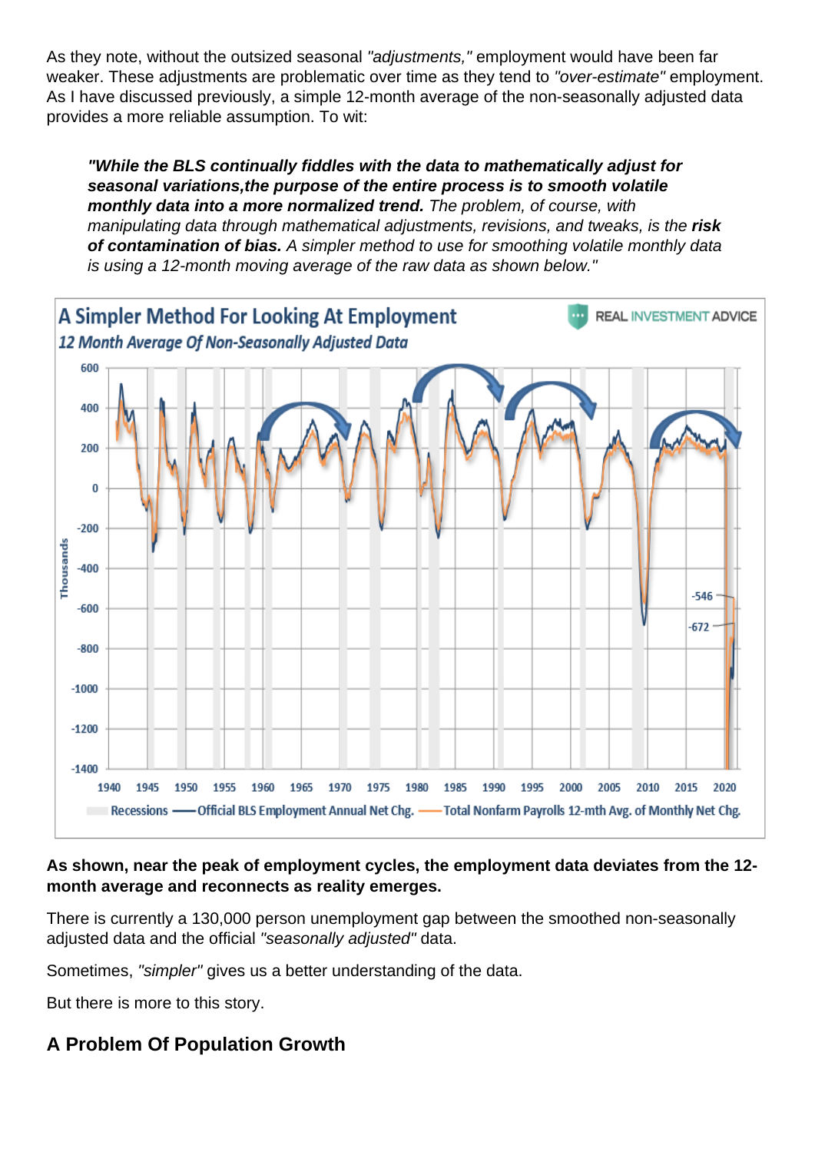As they note, without the outsized seasonal "adjustments," employment would have been far weaker. These adjustments are problematic over time as they tend to "over-estimate" employment. As I have discussed previously, a simple 12-month average of the non-seasonally adjusted data provides a more reliable assumption. To wit:

"While the BLS continually fiddles with the data to mathematically adjust for seasonal variations, the purpose of the entire process is to smooth volatile monthly data into a more normalized trend. The problem, of course, with manipulating data through mathematical adjustments, revisions, and tweaks, is the risk of contamination of bias. A simpler method to use for smoothing volatile monthly data is using a 12-month moving average of the raw data as shown below."

As shown, near the peak of employment cycles, the employment data deviates from the 12 month average and reconnects as reality emerges.

There is currently a 130,000 person unemployment gap between the smoothed non-seasonally adjusted data and the official "seasonally adjusted" data.

Sometimes, "simpler" gives us a better understanding of the data.

But there is more to this story.

A Problem Of Population Growth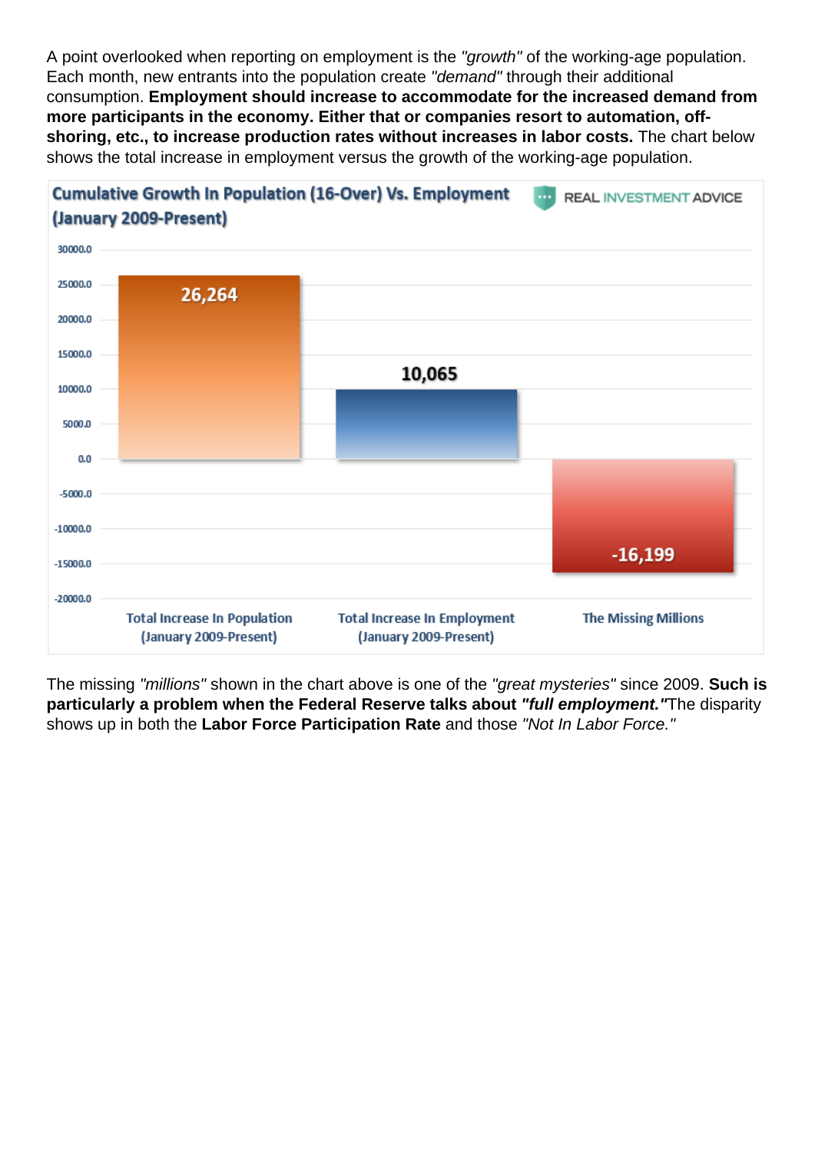A point overlooked when reporting on employment is the "growth" of the working-age population. Each month, new entrants into the population create "demand" through their additional consumption. Employment should increase to accommodate for the increased demand from more participants in the economy. Either that or companies resort to automation, offshoring, etc., to increase production rates without increases in labor costs. The chart below shows the total increase in employment versus the growth of the working-age population.

The missing "millions" shown in the chart above is one of the "great mysteries" since 2009. Such is particularly a problem when the Federal Reserve talks about "full employment." The disparity shows up in both the Labor Force Participation Rate and those "Not In Labor Force."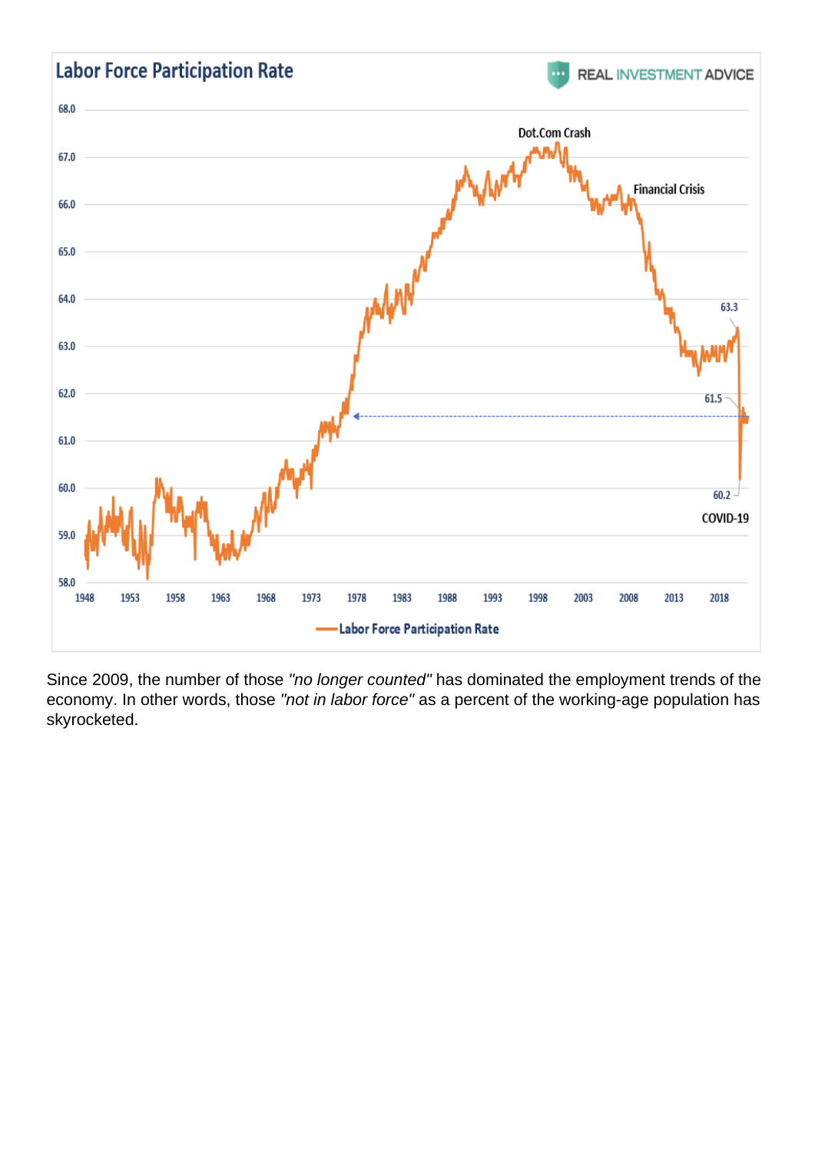Since 2009, the number of those "no longer counted" has dominated the employment trends of the economy. In other words, those "not in labor force" as a percent of the working-age population has skyrocketed.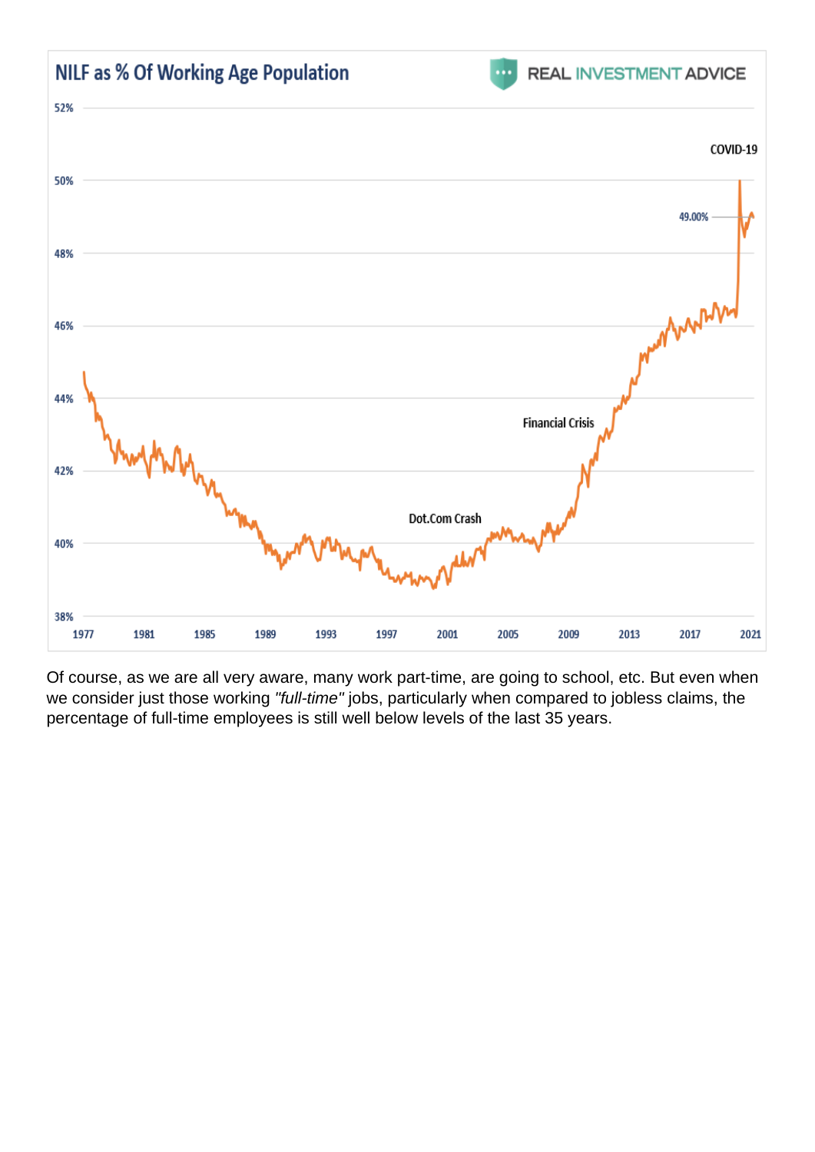Of course, as we are all very aware, many work part-time, are going to school, etc. But even when we consider just those working "full-time" jobs, particularly when compared to jobless claims, the percentage of full-time employees is still well below levels of the last 35 years.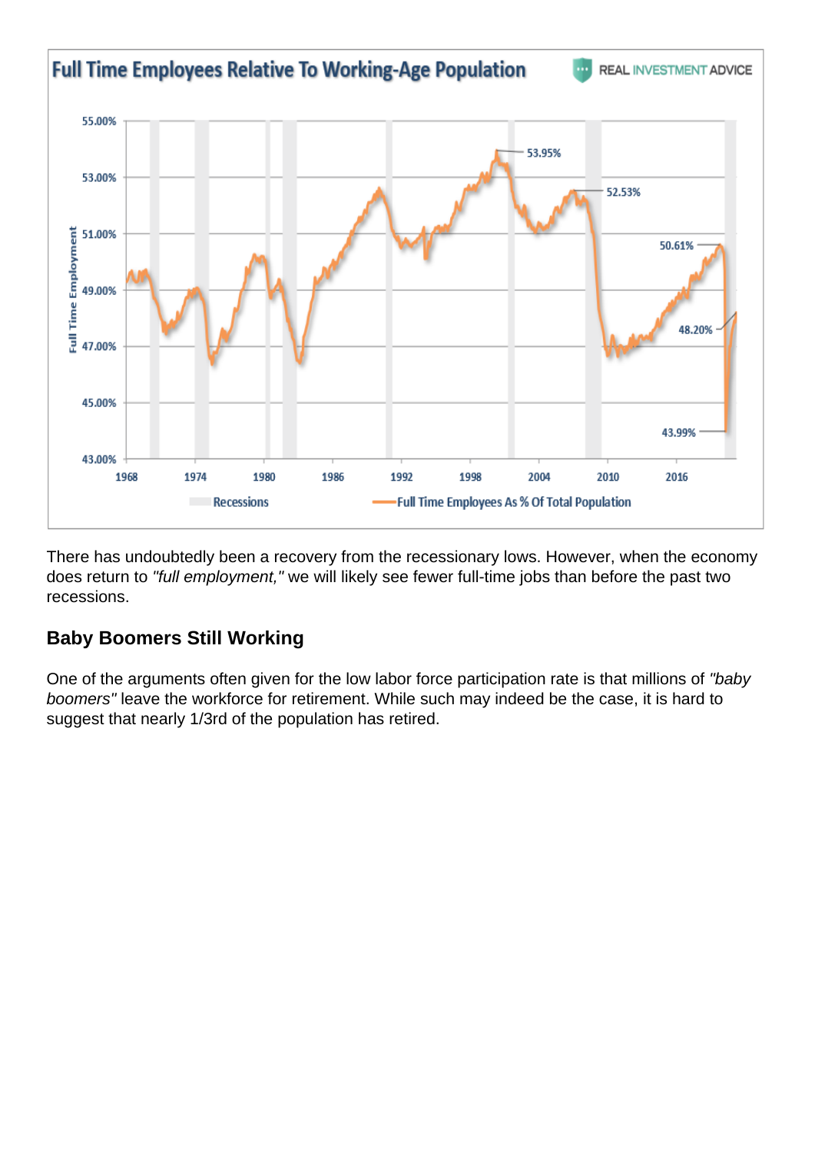There has undoubtedly been a recovery from the recessionary lows. However, when the economy does return to "full employment," we will likely see fewer full-time jobs than before the past two recessions.

### Baby Boomers Still Working

One of the arguments often given for the low labor force participation rate is that millions of "baby boomers" leave the workforce for retirement. While such may indeed be the case, it is hard to suggest that nearly 1/3rd of the population has retired.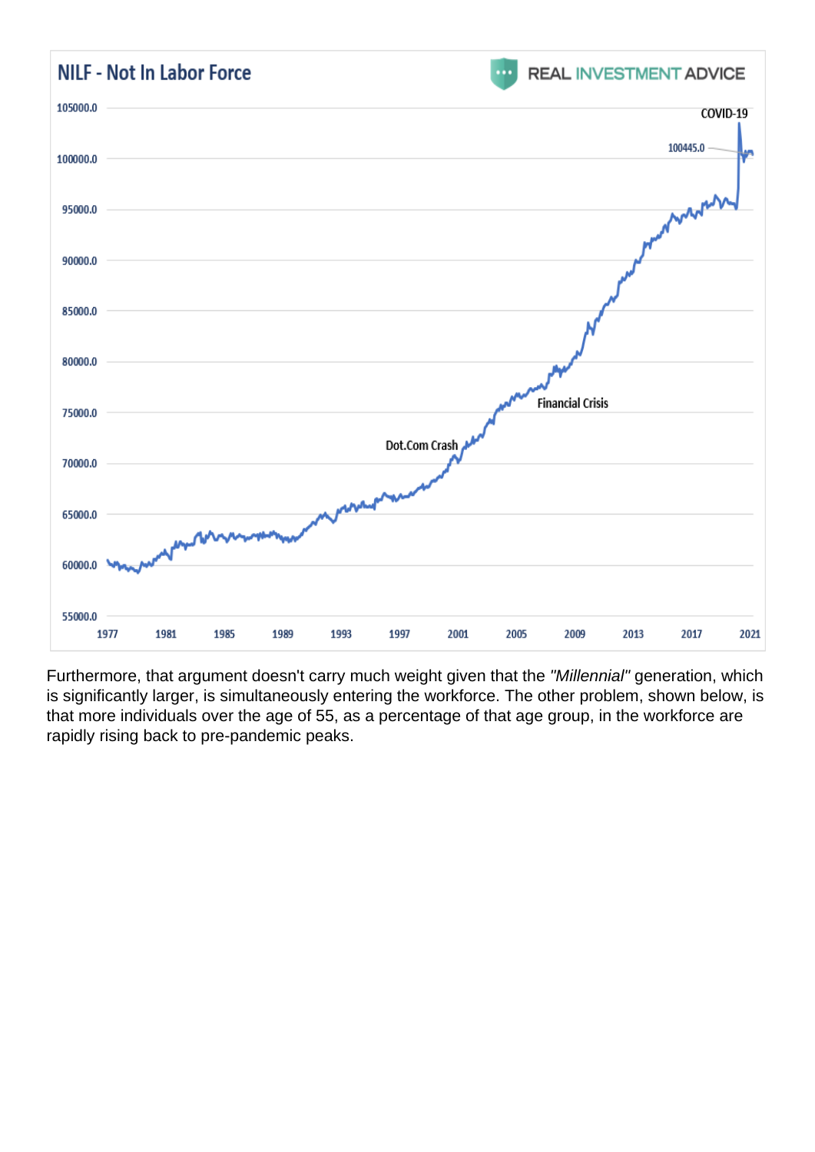Furthermore, that argument doesn't carry much weight given that the "Millennial" generation, which is significantly larger, is simultaneously entering the workforce. The other problem, shown below, is that more individuals over the age of 55, as a percentage of that age group, in the workforce are rapidly rising back to pre-pandemic peaks.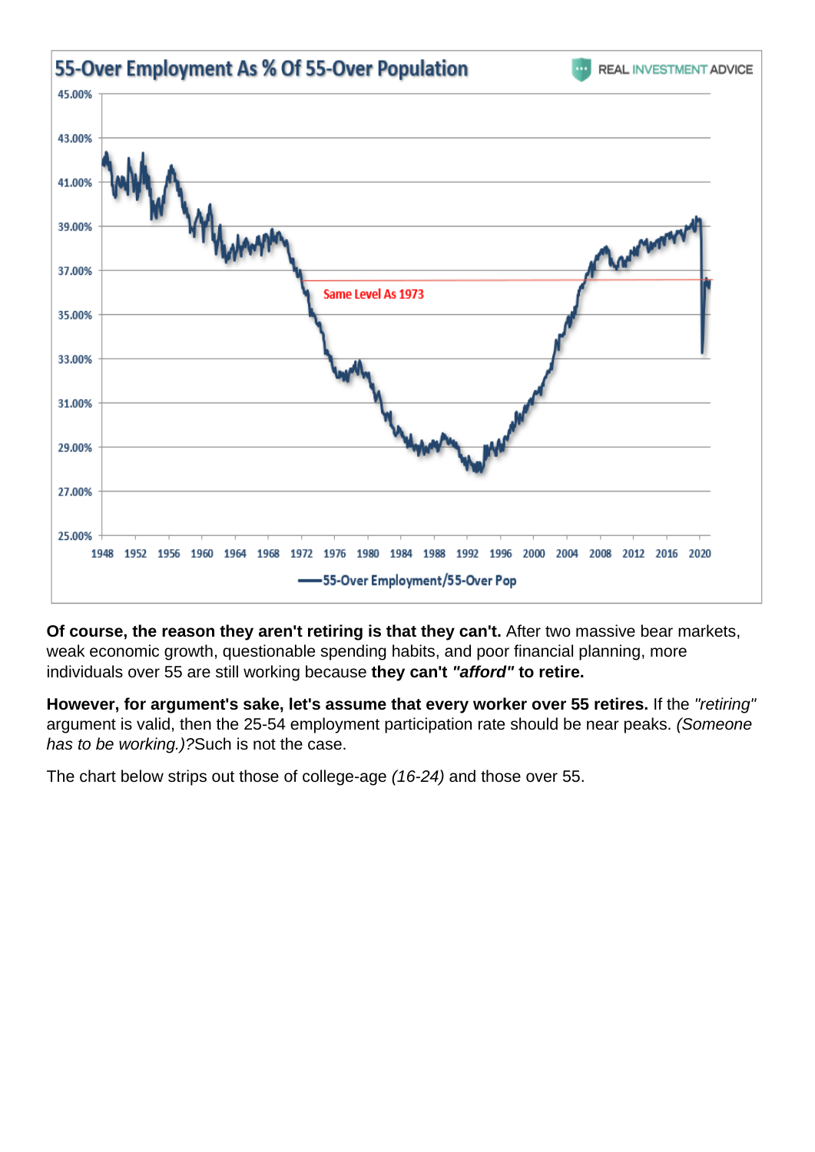Of course, the reason they aren't retiring is that they can't. After two massive bear markets, weak economic growth, questionable spending habits, and poor financial planning, more individuals over 55 are still working because they can't "afford" to retire.

However, for argument's sake, let's assume that every worker over 55 retires. If the "retiring" argument is valid, then the 25-54 employment participation rate should be near peaks. (Someone has to be working.)?Such is not the case.

The chart below strips out those of college-age (16-24) and those over 55.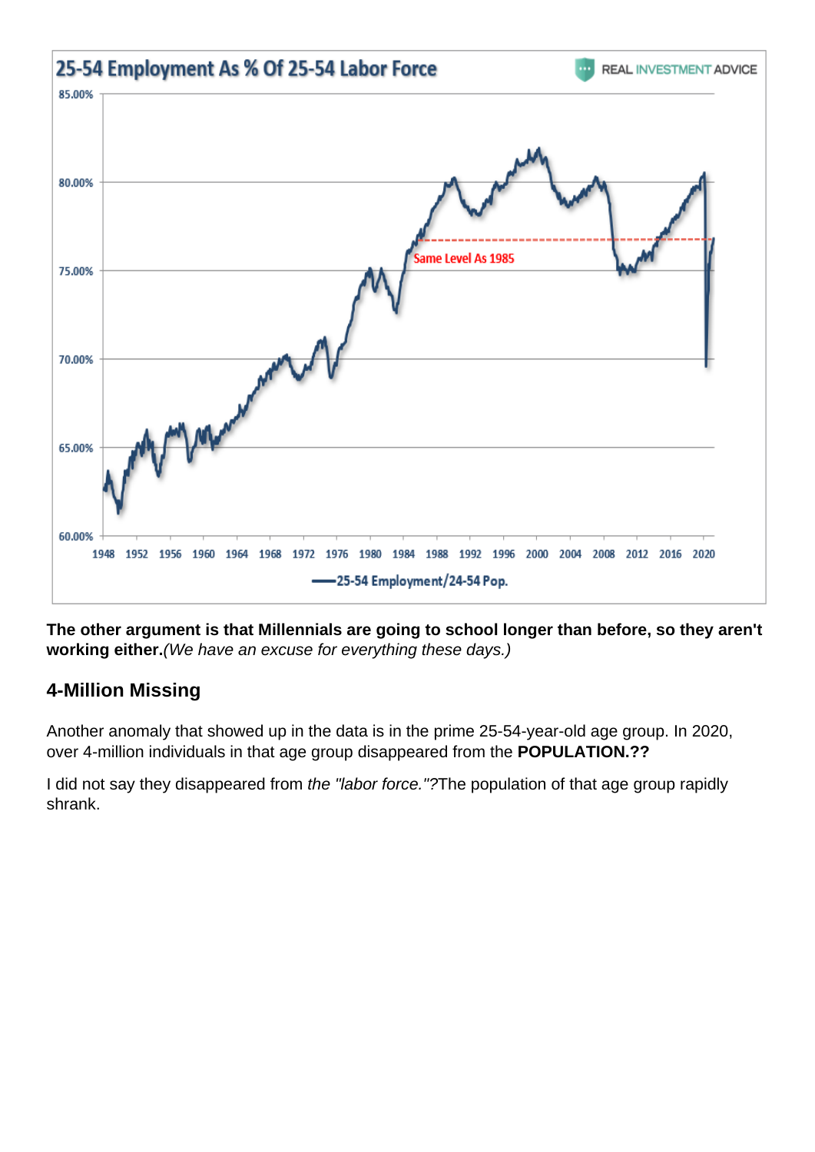The other argument is that Millennials are going to school longer than before, so they aren't working either. (We have an excuse for everything these days.)

## 4-Million Missing

Another anomaly that showed up in the data is in the prime 25-54-year-old age group. In 2020, over 4-million individuals in that age group disappeared from the POPULATION.??

I did not say they disappeared from the "labor force."?The population of that age group rapidly shrank.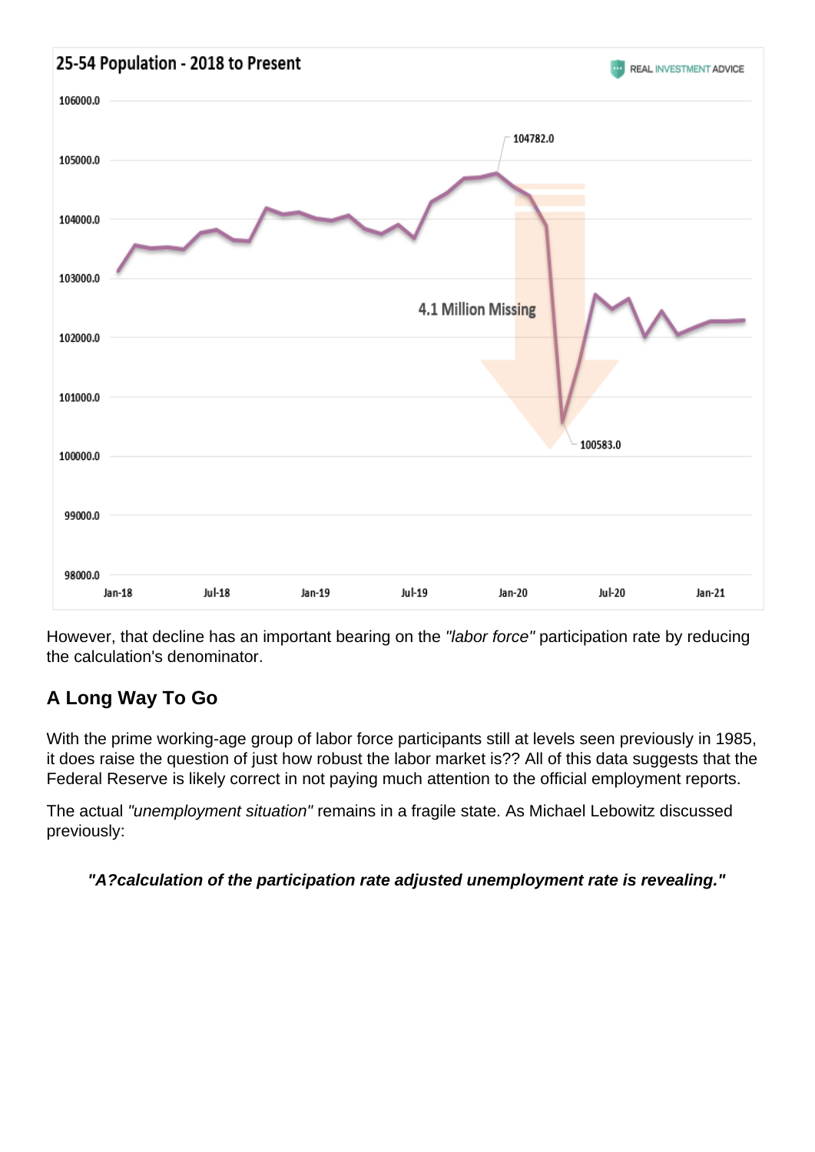However, that decline has an important bearing on the "labor force" participation rate by reducing the calculation's denominator.

## A Long Way To Go

With the prime working-age group of labor force participants still at levels seen previously in 1985, it does raise the question of just how robust the labor market is?? All of this data suggests that the Federal Reserve is likely correct in not paying much attention to the official employment reports.

The actual "unemployment situation" remains in a fragile state. As Michael Lebowitz discussed previously:

"A?calculation of the participation rate adjusted unemployment rate is revealing."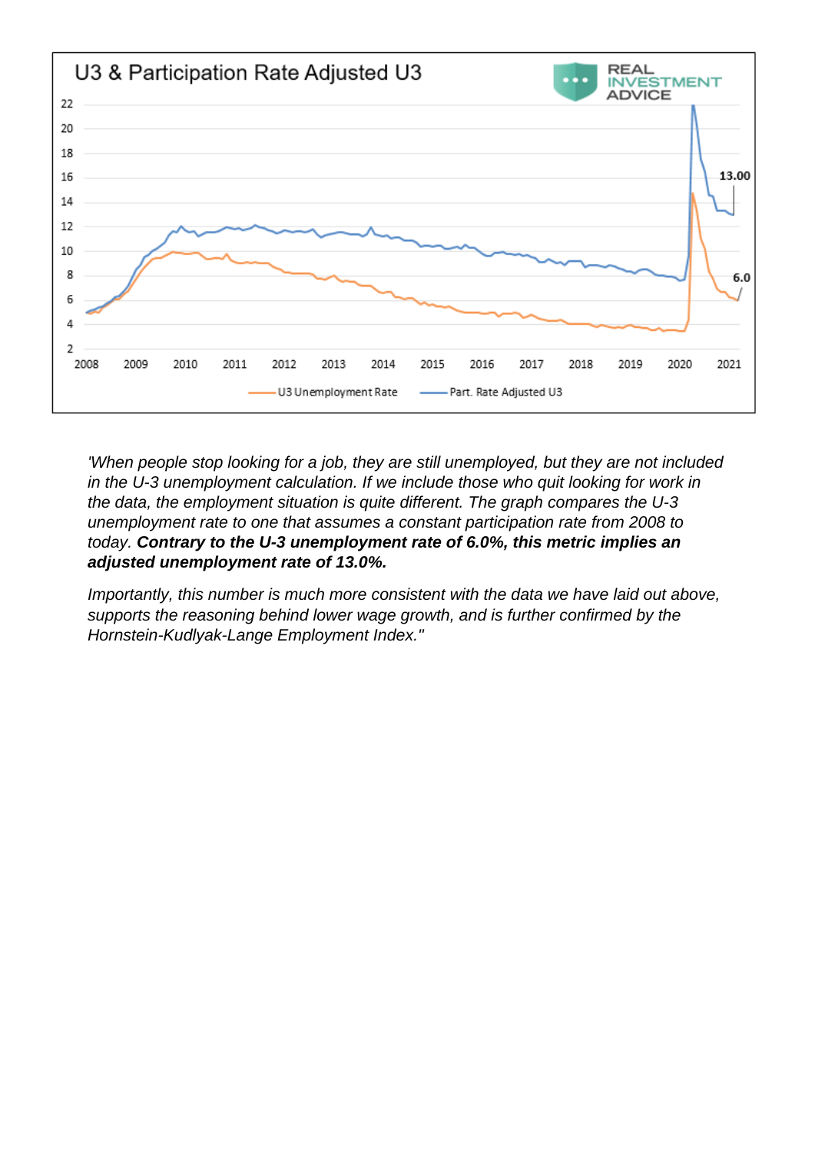'When people stop looking for a job, they are still unemployed, but they are not included in the U-3 unemployment calculation. If we include those who quit looking for work in the data, the employment situation is quite different. The graph compares the U-3 unemployment rate to one that assumes a constant participation rate from 2008 to today. Contrary to the U-3 unemployment rate of 6.0%, this metric implies an adjusted unemployment rate of 13.0%.

Importantly, this number is much more consistent with the data we have laid out above, supports the reasoning behind lower wage growth, and is further confirmed by the Hornstein-Kudlyak-Lange Employment Index."